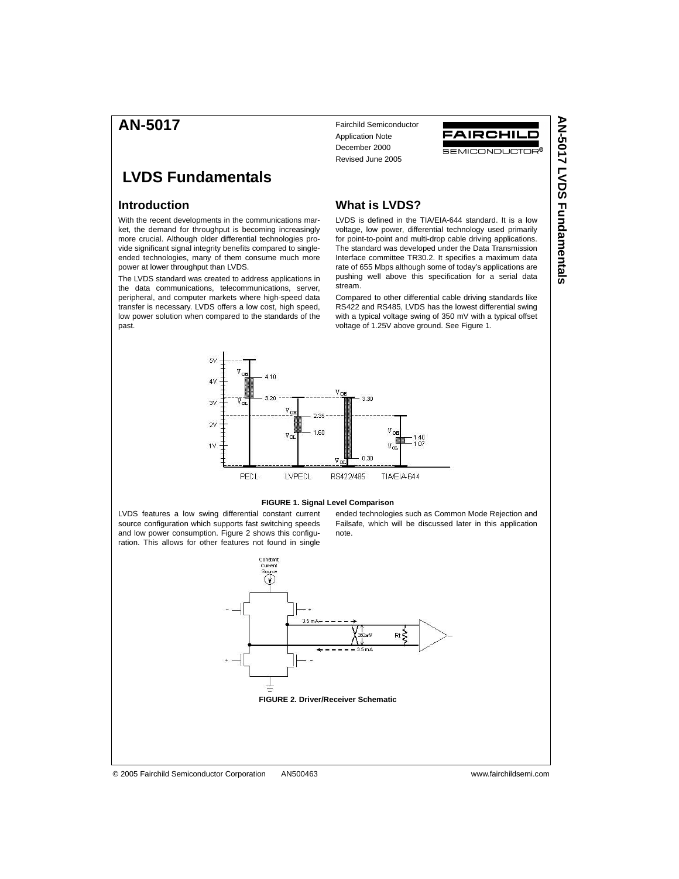# **AN-5017**

# **LVDS Fundamentals**

## **Introduction**

With the recent developments in the communications market, the demand for throughput is becoming increasingly more crucial. Although older differential technologies provide significant signal integrity benefits compared to singleended technologies, many of them consume much more power at lower throughput than LVDS.

The LVDS standard was created to address applications in the data communications, telecommunications, server, peripheral, and computer markets where high-speed data transfer is necessary. LVDS offers a low cost, high speed, low power solution when compared to the standards of the past.

Fairchild Semiconductor Application Note December 2000 Revised June 2005



## **What is LVDS?**

LVDS is defined in the TIA/EIA-644 standard. It is a low voltage, low power, differential technology used primarily for point-to-point and multi-drop cable driving applications. The standard was developed under the Data Transmission Interface committee TR30.2. It specifies a maximum data rate of 655 Mbps although some of today's applications are pushing well above this specification for a serial data stream.

Compared to other differential cable driving standards like RS422 and RS485, LVDS has the lowest differential swing with a typical voltage swing of 350 mV with a typical offset voltage of 1.25V above ground. See Figure 1.



#### **FIGURE 1. Signal Level Comparison**

LVDS features a low swing differential constant current source configuration which supports fast switching speeds and low power consumption. Figure 2 shows this configuration. This allows for other features not found in single

ended technologies such as Common Mode Rejection and Failsafe, which will be discussed later in this application note.

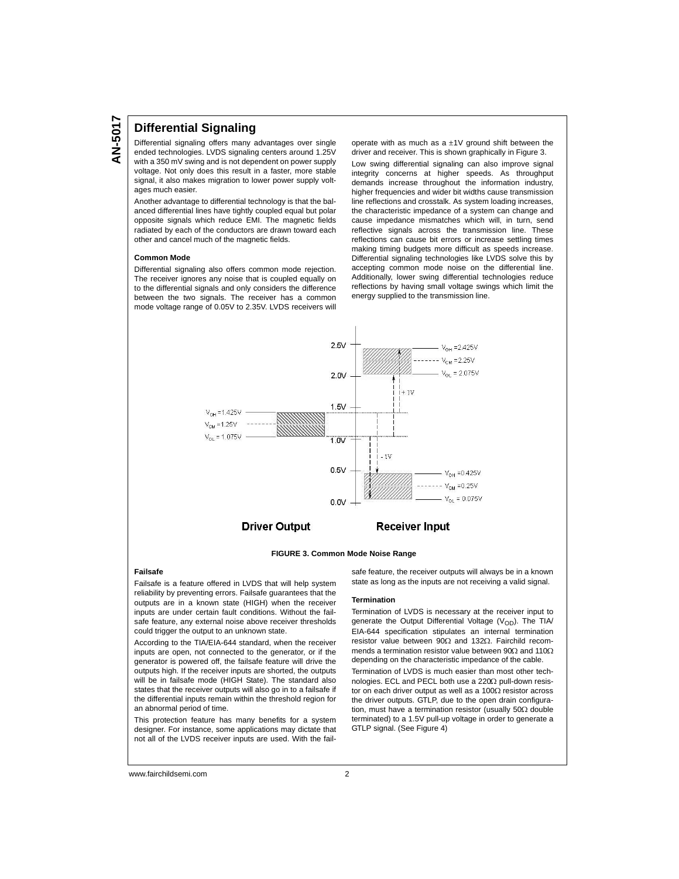### **Differential Signaling**

Differential signaling offers many advantages over single ended technologies. LVDS signaling centers around 1.25V with a 350 mV swing and is not dependent on power supply voltage. Not only does this result in a faster, more stable signal, it also makes migration to lower power supply voltages much easier.

Another advantage to differential technology is that the balanced differential lines have tightly coupled equal but polar opposite signals which reduce EMI. The magnetic fields radiated by each of the conductors are drawn toward each other and cancel much of the magnetic fields.

#### **Common Mode**

Differential signaling also offers common mode rejection. The receiver ignores any noise that is coupled equally on to the differential signals and only considers the difference between the two signals. The receiver has a common mode voltage range of 0.05V to 2.35V. LVDS receivers will

operate with as much as a  $\pm 1V$  ground shift between the driver and receiver. This is shown graphically in Figure 3.

Low swing differential signaling can also improve signal integrity concerns at higher speeds. As throughput demands increase throughout the information industry, higher frequencies and wider bit widths cause transmission line reflections and crosstalk. As system loading increases, the characteristic impedance of a system can change and cause impedance mismatches which will, in turn, send reflective signals across the transmission line. These reflections can cause bit errors or increase settling times making timing budgets more difficult as speeds increase. Differential signaling technologies like LVDS solve this by accepting common mode noise on the differential line. Additionally, lower swing differential technologies reduce reflections by having small voltage swings which limit the energy supplied to the transmission line.



**FIGURE 3. Common Mode Noise Range**

#### **Failsafe**

Failsafe is a feature offered in LVDS that will help system reliability by preventing errors. Failsafe guarantees that the outputs are in a known state (HIGH) when the receiver inputs are under certain fault conditions. Without the failsafe feature, any external noise above receiver thresholds could trigger the output to an unknown state.

According to the TIA/EIA-644 standard, when the receiver inputs are open, not connected to the generator, or if the generator is powered off, the failsafe feature will drive the outputs high. If the receiver inputs are shorted, the outputs will be in failsafe mode (HIGH State). The standard also states that the receiver outputs will also go in to a failsafe if the differential inputs remain within the threshold region for an abnormal period of time.

This protection feature has many benefits for a system designer. For instance, some applications may dictate that not all of the LVDS receiver inputs are used. With the failsafe feature, the receiver outputs will always be in a known state as long as the inputs are not receiving a valid signal.

#### **Termination**

Termination of LVDS is necessary at the receiver input to generate the Output Differential Voltage ( $V_{OD}$ ). The TIA/ EIA-644 specification stipulates an internal termination resistor value between  $90\Omega$  and 132 $\Omega$ . Fairchild recommends a termination resistor value between 90 $\Omega$  and 110 $\Omega$ depending on the characteristic impedance of the cable.

Termination of LVDS is much easier than most other technologies. ECL and PECL both use a 220 $\Omega$  pull-down resistor on each driver output as well as a 100 $\Omega$  resistor across the driver outputs. GTLP, due to the open drain configuration, must have a termination resistor (usually  $50\Omega$  double terminated) to a 1.5V pull-up voltage in order to generate a GTLP signal. (See Figure 4)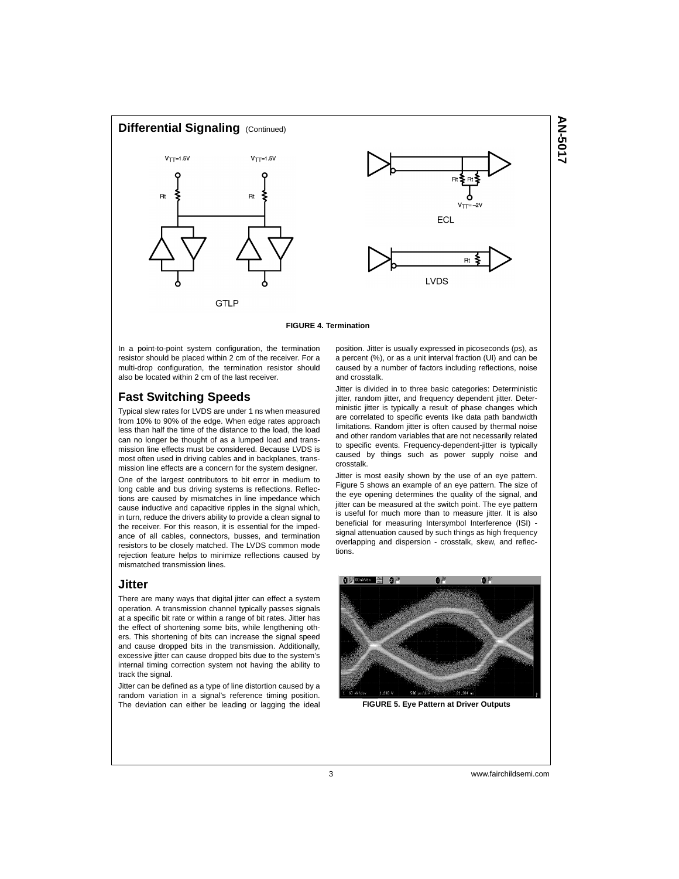

**FIGURE 4. Termination**

In a point-to-point system configuration, the termination resistor should be placed within 2 cm of the receiver. For a multi-drop configuration, the termination resistor should also be located within 2 cm of the last receiver.

# **Fast Switching Speeds**

Typical slew rates for LVDS are under 1 ns when measured from 10% to 90% of the edge. When edge rates approach less than half the time of the distance to the load, the load can no longer be thought of as a lumped load and transmission line effects must be considered. Because LVDS is most often used in driving cables and in backplanes, transmission line effects are a concern for the system designer.

One of the largest contributors to bit error in medium to long cable and bus driving systems is reflections. Reflections are caused by mismatches in line impedance which cause inductive and capacitive ripples in the signal which, in turn, reduce the drivers ability to provide a clean signal to the receiver. For this reason, it is essential for the impedance of all cables, connectors, busses, and termination resistors to be closely matched. The LVDS common mode rejection feature helps to minimize reflections caused by mismatched transmission lines.

#### **Jitter**

There are many ways that digital jitter can effect a system operation. A transmission channel typically passes signals at a specific bit rate or within a range of bit rates. Jitter has the effect of shortening some bits, while lengthening others. This shortening of bits can increase the signal speed and cause dropped bits in the transmission. Additionally, excessive jitter can cause dropped bits due to the system's internal timing correction system not having the ability to track the signal.

Jitter can be defined as a type of line distortion caused by a random variation in a signal's reference timing position. The deviation can either be leading or lagging the ideal position. Jitter is usually expressed in picoseconds (ps), as a percent (%), or as a unit interval fraction (UI) and can be caused by a number of factors including reflections, noise and crosstalk.

Jitter is divided in to three basic categories: Deterministic jitter, random jitter, and frequency dependent jitter. Deterministic jitter is typically a result of phase changes which are correlated to specific events like data path bandwidth limitations. Random jitter is often caused by thermal noise and other random variables that are not necessarily related to specific events. Frequency-dependent-jitter is typically caused by things such as power supply noise and crosstalk.

Jitter is most easily shown by the use of an eye pattern. Figure 5 shows an example of an eye pattern. The size of the eye opening determines the quality of the signal, and jitter can be measured at the switch point. The eye pattern is useful for much more than to measure jitter. It is also beneficial for measuring Intersymbol Interference (ISI) signal attenuation caused by such things as high frequency overlapping and dispersion - crosstalk, skew, and reflections.



**FIGURE 5. Eye Pattern at Driver Outputs**

3 www.fairchildsemi.com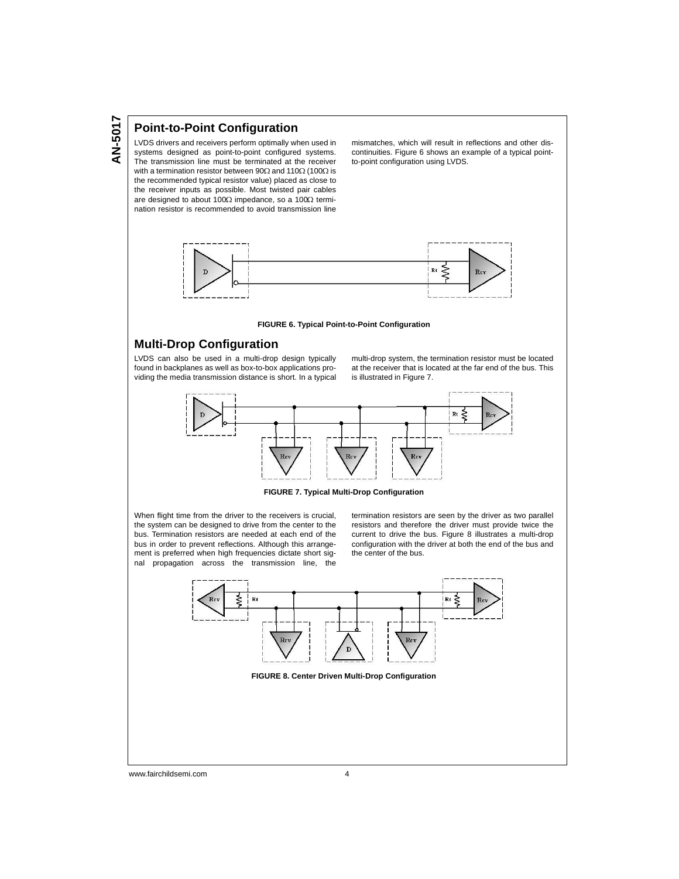# **Point-to-Point Configuration**

LVDS drivers and receivers perform optimally when used in systems designed as point-to-point configured systems. The transmission line must be terminated at the receiver with a termination resistor between 90 $\Omega$  and 110 $\Omega$  (100 $\Omega$  is the recommended typical resistor value) placed as close to the receiver inputs as possible. Most twisted pair cables are designed to about 100 $\Omega$  impedance, so a 100 $\Omega$  termination resistor is recommended to avoid transmission line

mismatches, which will result in reflections and other discontinuities. Figure 6 shows an example of a typical pointto-point configuration using LVDS.



#### **FIGURE 6. Typical Point-to-Point Configuration**

# **Multi-Drop Configuration**

LVDS can also be used in a multi-drop design typically found in backplanes as well as box-to-box applications providing the media transmission distance is short. In a typical multi-drop system, the termination resistor must be located at the receiver that is located at the far end of the bus. This is illustrated in Figure 7.



**FIGURE 7. Typical Multi-Drop Configuration**

When flight time from the driver to the receivers is crucial, the system can be designed to drive from the center to the bus. Termination resistors are needed at each end of the bus in order to prevent reflections. Although this arrangement is preferred when high frequencies dictate short signal propagation across the transmission line, the

termination resistors are seen by the driver as two parallel resistors and therefore the driver must provide twice the current to drive the bus. Figure 8 illustrates a multi-drop configuration with the driver at both the end of the bus and the center of the bus.



www.fairchildsemi.com 4